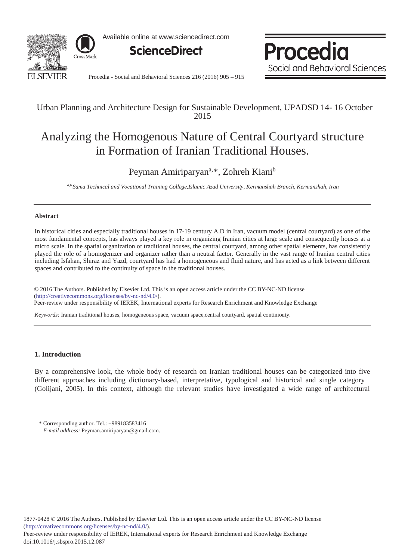

Available online at www.sciencedirect.com



Procedia Social and Behavioral Sciences

Procedia - Social and Behavioral Sciences 216 (2016) 905 – 915

### Urban Planning and Architecture Design for Sustainable Development, UPADSD 14- 16 October 2015

## Analyzing the Homogenous Nature of Central Courtyard structure in Formation of Iranian Traditional Houses.

### Peyman Amiriparyan<sup>a, \*</sup>, Zohreh Kiani<sup>b</sup>

*a,b Sama Technical and Vocational Training College,Islamic Azad University, Kermanshah Branch, Kermanshah, Iran*

#### **Abstract**

In historical cities and especially traditional houses in 17-19 century A.D in Iran, vacuum model (central courtyard) as one of the most fundamental concepts, has always played a key role in organizing Iranian cities at large scale and consequently houses at a micro scale. In the spatial organization of traditional houses, the central courtyard, among other spatial elements, has consistently played the role of a homogenizer and organizer rather than a neutral factor. Generally in the vast range of Iranian central cities including Isfahan, Shiraz and Yazd, courtyard has had a homogeneous and fluid nature, and has acted as a link between different spaces and contributed to the continuity of space in the traditional houses.

© 2016 The Authors. Published by Elsevier Ltd. © 2016 The Authors. Published by Elsevier Ltd. This is an open access article under the CC BY-NC-ND license Peer-review under responsibility of IEREK, International experts for Research Enrichment and Knowledge Exchange. Peer-review under responsibility of IEREK, International experts for Research Enrichment and Knowledge Exchange(http://creativecommons.org/licenses/by-nc-nd/4.0/).

*Keywords:* Iranian traditional houses, homogeneous space, vacuum space,central courtyard, spatial continiouty.

#### **1. Introduction**

By a comprehensive look, the whole body of research on Iranian traditional houses can be categorized into five different approaches including dictionary-based, interpretative, typological and historical and single category (Golijani, 2005). In this context, although the relevant studies have investigated a wide range of architectural

\* Corresponding author. Tel.: +989183583416 *E-mail address:* Peyman.amiriparyan@gmail.com.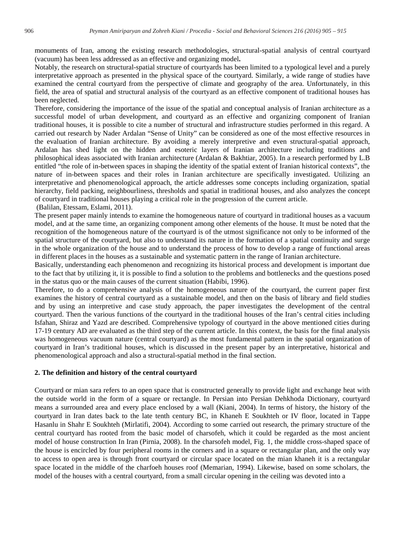monuments of Iran, among the existing research methodologies, structural-spatial analysis of central courtyard (vacuum) has been less addressed as an effective and organizing model**.**

Notably, the research on structural-spatial structure of courtyards has been limited to a typological level and a purely interpretative approach as presented in the physical space of the courtyard. Similarly, a wide range of studies have examined the central courtyard from the perspective of climate and geography of the area. Unfortunately, in this field, the area of spatial and structural analysis of the courtyard as an effective component of traditional houses has been neglected.

Therefore, considering the importance of the issue of the spatial and conceptual analysis of Iranian architecture as a successful model of urban development, and courtyard as an effective and organizing component of Iranian traditional houses, it is possible to cite a number of structural and infrastructure studies performed in this regard. A carried out research by Nader Ardalan "Sense of Unity" can be considered as one of the most effective resources in the evaluation of Iranian architecture. By avoiding a merely interpretive and even structural-spatial approach, Ardalan has shed light on the hidden and esoteric layers of Iranian architecture including traditions and philosophical ideas associated with Iranian architecture (Ardalan & Bakhtiar, 2005). In a research performed by L.B entitled "the role of in-between spaces in shaping the identity of the spatial extent of Iranian historical contexts", the nature of in-between spaces and their roles in Iranian architecture are specifically investigated. Utilizing an interpretative and phenomenological approach, the article addresses some concepts including organization, spatial hierarchy, field packing, neighbourliness, thresholds and spatial in traditional houses, and also analyzes the concept of courtyard in traditional houses playing a critical role in the progression of the current article. (Balilan, Etessam, Eslami, 2011).

The present paper mainly intends to examine the homogeneous nature of courtyard in traditional houses as a vacuum model, and at the same time, an organizing component among other elements of the house. It must be noted that the recognition of the homogeneous nature of the courtyard is of the utmost significance not only to be informed of the spatial structure of the courtyard, but also to understand its nature in the formation of a spatial continuity and surge in the whole organization of the house and to understand the process of how to develop a range of functional areas in different places in the houses as a sustainable and systematic pattern in the range of Iranian architecture.

Basically, understanding each phenomenon and recognizing its historical process and development is important due to the fact that by utilizing it, it is possible to find a solution to the problems and bottlenecks and the questions posed in the status quo or the main causes of the current situation (Habibi, 1996).

Therefore, to do a comprehensive analysis of the homogeneous nature of the courtyard, the current paper first examines the history of central courtyard as a sustainable model, and then on the basis of library and field studies and by using an interpretive and case study approach, the paper investigates the development of the central courtyard. Then the various functions of the courtyard in the traditional houses of the Iran's central cities including Isfahan, Shiraz and Yazd are described. Comprehensive typology of courtyard in the above mentioned cities during 17-19 century AD are evaluated as the third step of the current article. In this context, the basis for the final analysis was homogeneous vacuum nature (central courtyard) as the most fundamental pattern in the spatial organization of courtyard in Iran's traditional houses, which is discussed in the present paper by an interpretative, historical and phenomenological approach and also a structural-spatial method in the final section.

#### **2. The definition and history of the central courtyard**

Courtyard or mian sara refers to an open space that is constructed generally to provide light and exchange heat with the outside world in the form of a square or rectangle. In Persian into Persian Dehkhoda Dictionary, courtyard means a surrounded area and every place enclosed by a wall (Kiani, 2004). In terms of history, the history of the courtyard in Iran dates back to the late tenth century BC, in Khaneh E Soukhteh or IV floor, located in Tappe Hasanlu in Shahr E Soukhteh (Mirlatifi, 2004). According to some carried out research, the primary structure of the central courtyard has rooted from the basic model of charsofeh, which it could be regarded as the most ancient model of house construction In Iran (Pirnia, 2008). In the charsofeh model, Fig. 1, the middle cross-shaped space of the house is encircled by four peripheral rooms in the corners and in a square or rectangular plan, and the only way to access to open area is through front courtyard or circular space located on the mian khaneh it is a rectangular space located in the middle of the charfoeh houses roof (Memarian, 1994). Likewise, based on some scholars, the model of the houses with a central courtyard, from a small circular opening in the ceiling was devoted into a